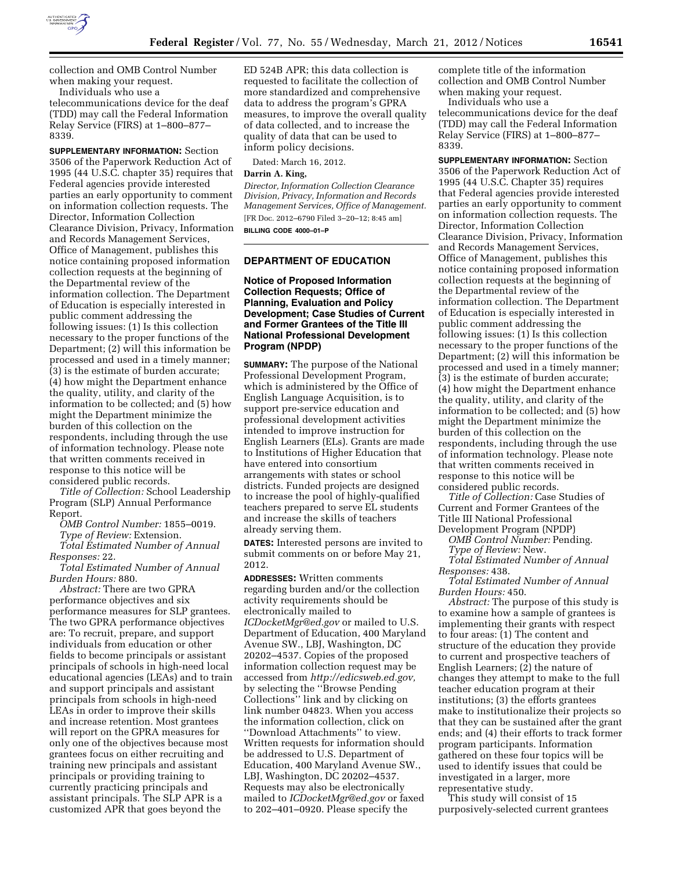

collection and OMB Control Number when making your request.

Individuals who use a telecommunications device for the deaf (TDD) may call the Federal Information Relay Service (FIRS) at 1–800–877– 8339.

**SUPPLEMENTARY INFORMATION:** Section 3506 of the Paperwork Reduction Act of 1995 (44 U.S.C. chapter 35) requires that Federal agencies provide interested parties an early opportunity to comment on information collection requests. The Director, Information Collection Clearance Division, Privacy, Information and Records Management Services, Office of Management, publishes this notice containing proposed information collection requests at the beginning of the Departmental review of the information collection. The Department of Education is especially interested in public comment addressing the following issues: (1) Is this collection necessary to the proper functions of the Department; (2) will this information be processed and used in a timely manner; (3) is the estimate of burden accurate; (4) how might the Department enhance the quality, utility, and clarity of the information to be collected; and (5) how might the Department minimize the burden of this collection on the respondents, including through the use of information technology. Please note that written comments received in response to this notice will be considered public records.

*Title of Collection:* School Leadership Program (SLP) Annual Performance Report.

*OMB Control Number:* 1855–0019.

*Type of Review:* Extension.

*Total Estimated Number of Annual Responses:* 22.

*Total Estimated Number of Annual Burden Hours:* 880.

*Abstract:* There are two GPRA performance objectives and six performance measures for SLP grantees. The two GPRA performance objectives are: To recruit, prepare, and support individuals from education or other fields to become principals or assistant principals of schools in high-need local educational agencies (LEAs) and to train and support principals and assistant principals from schools in high-need LEAs in order to improve their skills and increase retention. Most grantees will report on the GPRA measures for only one of the objectives because most grantees focus on either recruiting and training new principals and assistant principals or providing training to currently practicing principals and assistant principals. The SLP APR is a customized APR that goes beyond the

ED 524B APR; this data collection is requested to facilitate the collection of more standardized and comprehensive data to address the program's GPRA measures, to improve the overall quality of data collected, and to increase the quality of data that can be used to inform policy decisions.

Dated: March 16, 2012.

# **Darrin A. King,**

*Director, Information Collection Clearance Division, Privacy, Information and Records Management Services, Office of Management.*  [FR Doc. 2012–6790 Filed 3–20–12; 8:45 am]

**BILLING CODE 4000–01–P** 

#### **DEPARTMENT OF EDUCATION**

#### **Notice of Proposed Information Collection Requests; Office of Planning, Evaluation and Policy Development; Case Studies of Current and Former Grantees of the Title III National Professional Development Program (NPDP)**

**SUMMARY:** The purpose of the National Professional Development Program, which is administered by the Office of English Language Acquisition, is to support pre-service education and professional development activities intended to improve instruction for English Learners (ELs). Grants are made to Institutions of Higher Education that have entered into consortium arrangements with states or school districts. Funded projects are designed to increase the pool of highly-qualified teachers prepared to serve EL students and increase the skills of teachers already serving them.

**DATES:** Interested persons are invited to submit comments on or before May 21, 2012.

**ADDRESSES:** Written comments regarding burden and/or the collection activity requirements should be electronically mailed to *ICDocketMgr@ed.gov* or mailed to U.S. Department of Education, 400 Maryland Avenue SW., LBJ, Washington, DC 20202–4537. Copies of the proposed information collection request may be accessed from *http://edicsweb.ed.gov,*  by selecting the ''Browse Pending Collections'' link and by clicking on link number 04823. When you access the information collection, click on ''Download Attachments'' to view. Written requests for information should be addressed to U.S. Department of Education, 400 Maryland Avenue SW., LBJ, Washington, DC 20202–4537. Requests may also be electronically mailed to *ICDocketMgr@ed.gov* or faxed to 202–401–0920. Please specify the

complete title of the information collection and OMB Control Number when making your request.

Individuals who use a telecommunications device for the deaf (TDD) may call the Federal Information Relay Service (FIRS) at 1–800–877– 8339.

**SUPPLEMENTARY INFORMATION:** Section 3506 of the Paperwork Reduction Act of 1995 (44 U.S.C. Chapter 35) requires that Federal agencies provide interested parties an early opportunity to comment on information collection requests. The Director, Information Collection Clearance Division, Privacy, Information and Records Management Services, Office of Management, publishes this notice containing proposed information collection requests at the beginning of the Departmental review of the information collection. The Department of Education is especially interested in public comment addressing the following issues: (1) Is this collection necessary to the proper functions of the Department; (2) will this information be processed and used in a timely manner; (3) is the estimate of burden accurate; (4) how might the Department enhance the quality, utility, and clarity of the information to be collected; and (5) how might the Department minimize the burden of this collection on the respondents, including through the use of information technology. Please note that written comments received in response to this notice will be considered public records.

*Title of Collection:* Case Studies of Current and Former Grantees of the Title III National Professional Development Program (NPDP)

*OMB Control Number:* Pending. *Type of Review:* New.

*Total Estimated Number of Annual Responses:* 438.

*Total Estimated Number of Annual Burden Hours:* 450.

*Abstract:* The purpose of this study is to examine how a sample of grantees is implementing their grants with respect to four areas: (1) The content and structure of the education they provide to current and prospective teachers of English Learners; (2) the nature of changes they attempt to make to the full teacher education program at their institutions; (3) the efforts grantees make to institutionalize their projects so that they can be sustained after the grant ends; and (4) their efforts to track former program participants. Information gathered on these four topics will be used to identify issues that could be investigated in a larger, more representative study.

This study will consist of 15 purposively-selected current grantees